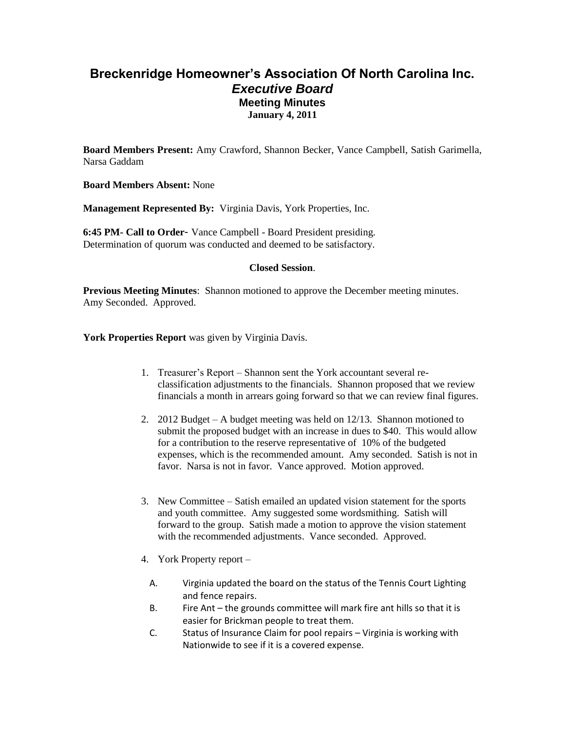## **Breckenridge Homeowner's Association Of North Carolina Inc.** *Executive Board* **Meeting Minutes January 4, 2011**

**Board Members Present:** Amy Crawford, Shannon Becker, Vance Campbell, Satish Garimella, Narsa Gaddam

**Board Members Absent:** None

**Management Represented By:** Virginia Davis, York Properties, Inc.

**6:45 PM- Call to Order**- Vance Campbell - Board President presiding. Determination of quorum was conducted and deemed to be satisfactory.

## **Closed Session**.

**Previous Meeting Minutes**: Shannon motioned to approve the December meeting minutes. Amy Seconded. Approved.

**York Properties Report** was given by Virginia Davis.

- 1. Treasurer's Report Shannon sent the York accountant several reclassification adjustments to the financials. Shannon proposed that we review financials a month in arrears going forward so that we can review final figures.
- 2. 2012 Budget A budget meeting was held on 12/13. Shannon motioned to submit the proposed budget with an increase in dues to \$40. This would allow for a contribution to the reserve representative of 10% of the budgeted expenses, which is the recommended amount. Amy seconded. Satish is not in favor. Narsa is not in favor. Vance approved. Motion approved.
- 3. New Committee Satish emailed an updated vision statement for the sports and youth committee. Amy suggested some wordsmithing. Satish will forward to the group. Satish made a motion to approve the vision statement with the recommended adjustments. Vance seconded. Approved.
- 4. York Property report
	- A. Virginia updated the board on the status of the Tennis Court Lighting and fence repairs.
	- B. Fire Ant the grounds committee will mark fire ant hills so that it is easier for Brickman people to treat them.
	- C. Status of Insurance Claim for pool repairs Virginia is working with Nationwide to see if it is a covered expense.